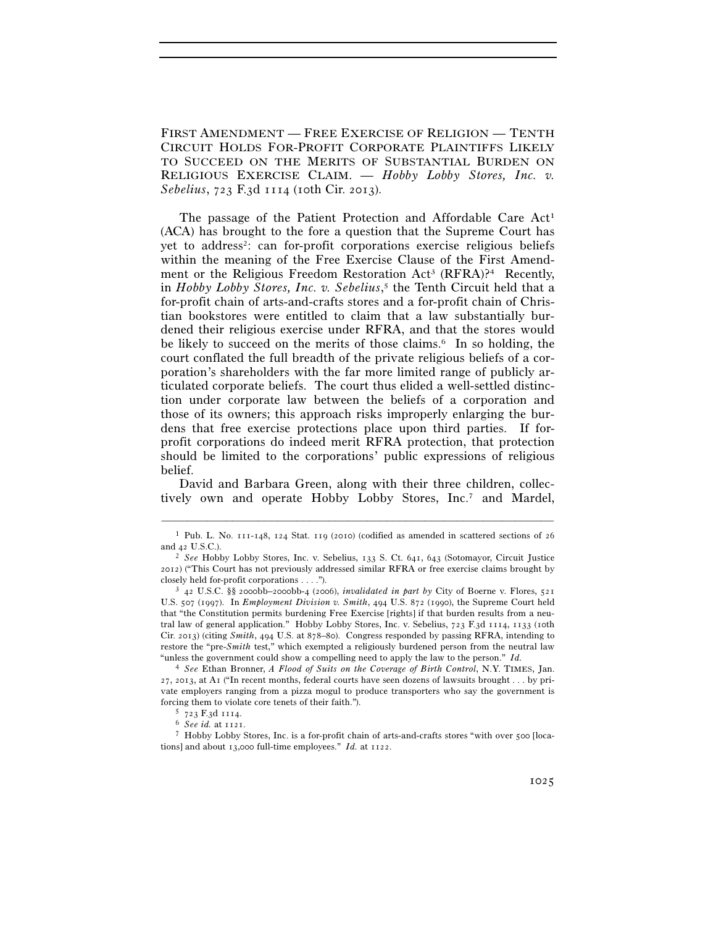FIRST AMENDMENT — FREE EXERCISE OF RELIGION — TENTH CIRCUIT HOLDS FOR-PROFIT CORPORATE PLAINTIFFS LIKELY TO SUCCEED ON THE MERITS OF SUBSTANTIAL BURDEN ON RELIGIOUS EXERCISE CLAIM. — *Hobby Lobby Stores, Inc. v. Sebelius*, 723 F.3d 1114 (10th Cir. 2013).

The passage of the Patient Protection and Affordable Care Act<sup>1</sup> (ACA) has brought to the fore a question that the Supreme Court has yet to address2: can for-profit corporations exercise religious beliefs within the meaning of the Free Exercise Clause of the First Amendment or the Religious Freedom Restoration Act<sup>3</sup> (RFRA)?<sup>4</sup> Recently, in *Hobby Lobby Stores, Inc. v. Sebelius*, 5 the Tenth Circuit held that a for-profit chain of arts-and-crafts stores and a for-profit chain of Christian bookstores were entitled to claim that a law substantially burdened their religious exercise under RFRA, and that the stores would be likely to succeed on the merits of those claims.<sup>6</sup> In so holding, the court conflated the full breadth of the private religious beliefs of a corporation's shareholders with the far more limited range of publicly articulated corporate beliefs. The court thus elided a well-settled distinction under corporate law between the beliefs of a corporation and those of its owners; this approach risks improperly enlarging the burdens that free exercise protections place upon third parties. If forprofit corporations do indeed merit RFRA protection, that protection should be limited to the corporations' public expressions of religious belief.

David and Barbara Green, along with their three children, collectively own and operate Hobby Lobby Stores, Inc.7 and Mardel,

<sup>–––––––––––––––––––––––––––––––––––––––––––––––––––––––––––––</sup> 1 Pub. L. No. 111-148, 124 Stat. 119 (2010) (codified as amended in scattered sections of 26 and 42 U.S.C.). 2 *See* Hobby Lobby Stores, Inc. v. Sebelius, 133 S. Ct. 641, 643 (Sotomayor, Circuit Justice

<sup>2012</sup>) ("This Court has not previously addressed similar RFRA or free exercise claims brought by closely held for-profit corporations . . . ."). 3 <sup>42</sup> U.S.C. §§ 2000bb–2000bb-4 (2006), *invalidated in part by* City of Boerne v. Flores, <sup>521</sup>

U.S. 507 (1997). In *Employment Division v. Smith*, 494 U.S. 872 (1990), the Supreme Court held that "the Constitution permits burdening Free Exercise [rights] if that burden results from a neutral law of general application." Hobby Lobby Stores, Inc. v. Sebelius, 723 F.3d 1114, 1133 (10th Cir. 2013) (citing *Smith*, 494 U.S. at 878–80). Congress responded by passing RFRA, intending to restore the "pre-*Smith* test," which exempted a religiously burdened person from the neutral law "unless the government could show a compelling need to apply the law to the person." *Id.*

<sup>4</sup> *See* Ethan Bronner, *A Flood of Suits on the Coverage of Birth Control*, N.Y. TIMES, Jan. 27, 2013, at A1 ("In recent months, federal courts have seen dozens of lawsuits brought . . . by private employers ranging from a pizza mogul to produce transporters who say the government is forcing them to violate core tenets of their faith.").<br>
<sup>5</sup> 723 F.3d 1114.<br>
<sup>6</sup> *See id.* at 1121.<br>
<sup>7</sup> Hobby Lobby Stores, Inc. is a for-profit chain of arts-and-crafts stores "with over 500 [loca-

tions] and about 13,000 full-time employees." *Id.* at 1122.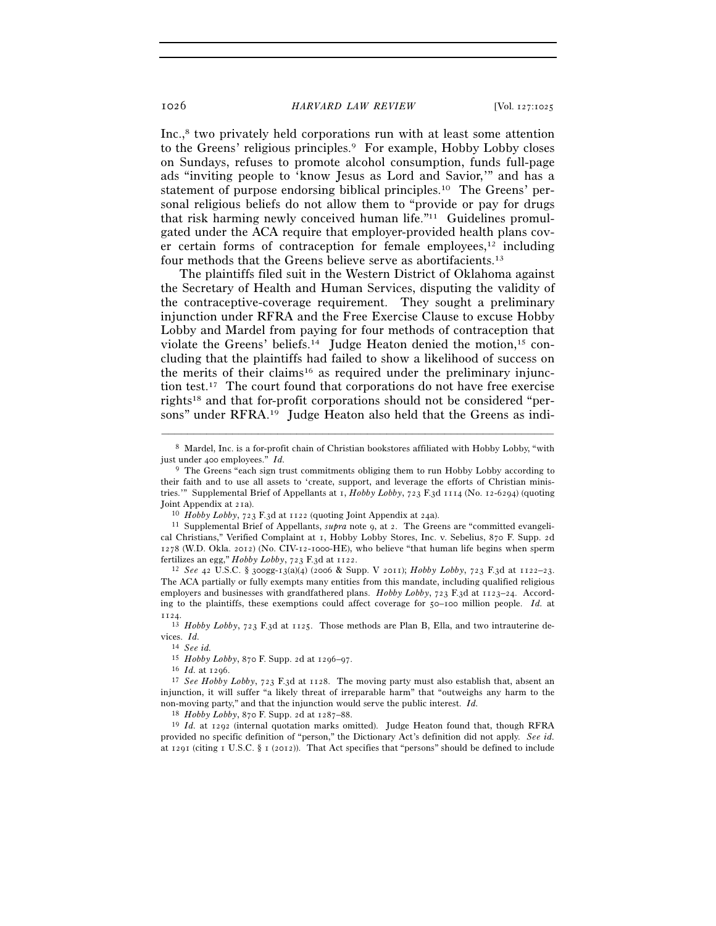Inc.,<sup>8</sup> two privately held corporations run with at least some attention to the Greens' religious principles.<sup>9</sup> For example, Hobby Lobby closes on Sundays, refuses to promote alcohol consumption, funds full-page ads "inviting people to 'know Jesus as Lord and Savior,'" and has a statement of purpose endorsing biblical principles.10 The Greens' personal religious beliefs do not allow them to "provide or pay for drugs that risk harming newly conceived human life."11 Guidelines promulgated under the ACA require that employer-provided health plans cover certain forms of contraception for female employees, $12$  including four methods that the Greens believe serve as abortifacients.13

The plaintiffs filed suit in the Western District of Oklahoma against the Secretary of Health and Human Services, disputing the validity of the contraceptive-coverage requirement. They sought a preliminary injunction under RFRA and the Free Exercise Clause to excuse Hobby Lobby and Mardel from paying for four methods of contraception that violate the Greens' beliefs.<sup>14</sup> Judge Heaton denied the motion,<sup>15</sup> concluding that the plaintiffs had failed to show a likelihood of success on the merits of their claims<sup>16</sup> as required under the preliminary injunction test.17 The court found that corporations do not have free exercise rights18 and that for-profit corporations should not be considered "persons" under RFRA.19 Judge Heaton also held that the Greens as indi-

fertilizes an egg," *Hobby Lobby*, 723 F.3d at 1122. 12 *See* <sup>42</sup> U.S.C. § 300gg-13(a)(4) (2006 & Supp. V 2011); *Hobby Lobby*, 723 F.3d at 1122–23. The ACA partially or fully exempts many entities from this mandate, including qualified religious employers and businesses with grandfathered plans. *Hobby Lobby*, 723 F.3d at 1123–24. According to the plaintiffs, these exemptions could affect coverage for 50–100 million people. *Id.* at 1124.

14 *See id.*

<sup>18</sup> *Hobby Lobby*, 870 F. Supp. 2d at 1287–88.<br><sup>19</sup> *Id.* at 1292 (internal quotation marks omitted). Judge Heaton found that, though RFRA provided no specific definition of "person," the Dictionary Act's definition did not apply. *See id.* at 1291 (citing 1 U.S.C. § 1 (2012)). That Act specifies that "persons" should be defined to include

<sup>–––––––––––––––––––––––––––––––––––––––––––––––––––––––––––––</sup> 8 Mardel, Inc. is a for-profit chain of Christian bookstores affiliated with Hobby Lobby, "with just under 400 employees." *Id.* 

<sup>9</sup> The Greens "each sign trust commitments obliging them to run Hobby Lobby according to their faith and to use all assets to 'create, support, and leverage the efforts of Christian ministries.'" Supplemental Brief of Appellants at 1, *Hobby Lobby*, 723 F.3d 1114 (No. 12-6294) (quoting Joint Appendix at 21a). 10 *Hobby Lobby*, 723 F.3d at 1122 (quoting Joint Appendix at 24a). 11 Supplemental Brief of Appellants, *supra* note 9, at 2. The Greens are "committed evangeli-

cal Christians," Verified Complaint at 1, Hobby Lobby Stores, Inc. v. Sebelius, 870 F. Supp. 2d 1278 (W.D. Okla. 2012) (No. CIV-12-1000-HE), who believe "that human life begins when sperm fertilizes an egg," *Hobby Lobby*, 723 F.3d at 1122.

<sup>13</sup> *Hobby Lobby*, 723 F.3d at 1125. Those methods are Plan B, Ella, and two intrauterine devices. *Id.* 

<sup>&</sup>lt;sup>16</sup> *Id.* at 1296.<br><sup>17</sup> *See Hobby Lobby*, 723 F.3d at 1128. The moving party must also establish that, absent an injunction, it will suffer "a likely threat of irreparable harm" that "outweighs any harm to the non-moving party," and that the injunction would serve the public interest. *Id.*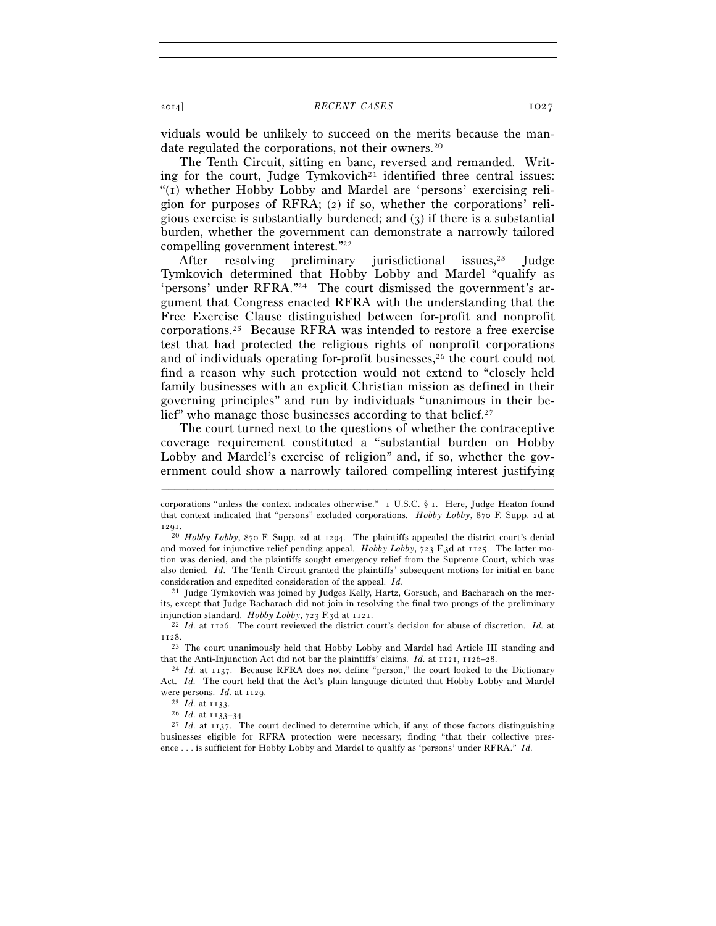### 2014] *RECENT CASES* 1027

viduals would be unlikely to succeed on the merits because the mandate regulated the corporations, not their owners.<sup>20</sup>

The Tenth Circuit, sitting en banc, reversed and remanded. Writing for the court, Judge Tymkovich<sup>21</sup> identified three central issues: "(1) whether Hobby Lobby and Mardel are 'persons' exercising religion for purposes of RFRA; (2) if so, whether the corporations' religious exercise is substantially burdened; and (3) if there is a substantial burden, whether the government can demonstrate a narrowly tailored compelling government interest."22

After resolving preliminary jurisdictional issues,<sup>23</sup> Judge Tymkovich determined that Hobby Lobby and Mardel "qualify as 'persons' under RFRA."24 The court dismissed the government's argument that Congress enacted RFRA with the understanding that the Free Exercise Clause distinguished between for-profit and nonprofit corporations.25 Because RFRA was intended to restore a free exercise test that had protected the religious rights of nonprofit corporations and of individuals operating for-profit businesses,26 the court could not find a reason why such protection would not extend to "closely held family businesses with an explicit Christian mission as defined in their governing principles" and run by individuals "unanimous in their belief" who manage those businesses according to that belief.<sup>27</sup>

The court turned next to the questions of whether the contraceptive coverage requirement constituted a "substantial burden on Hobby Lobby and Mardel's exercise of religion" and, if so, whether the government could show a narrowly tailored compelling interest justifying

–––––––––––––––––––––––––––––––––––––––––––––––––––––––––––––

<sup>21</sup> Judge Tymkovich was joined by Judges Kelly, Hartz, Gorsuch, and Bacharach on the merits, except that Judge Bacharach did not join in resolving the final two prongs of the preliminary injunction standard. Hobby Lobby,  $723$  F.3d at  $1121$ .

<sup>22</sup> Id. at 1126. The court reviewed the district court's decision for abuse of discretion. Id. at 1128.

<sup>23</sup> The court unanimously held that Hobby Lobby and Mardel had Article III standing and that the Anti-Injunction Act did not bar the plaintiffs' claims. *Id.* at  $1121$ ,  $1126-28$ .

corporations "unless the context indicates otherwise." 1 U.S.C. § 1. Here, Judge Heaton found that context indicated that "persons" excluded corporations. *Hobby Lobby*, 870 F. Supp. 2d at 1291.

<sup>20</sup> *Hobby Lobby*, 870 F. Supp. 2d at 1294. The plaintiffs appealed the district court's denial and moved for injunctive relief pending appeal. *Hobby Lobby*, 723 F.3d at 1125. The latter motion was denied, and the plaintiffs sought emergency relief from the Supreme Court, which was also denied. *Id.* The Tenth Circuit granted the plaintiffs' subsequent motions for initial en banc consideration and expedited consideration of the appeal. *Id.*

<sup>&</sup>lt;sup>24</sup> Id. at 1137. Because RFRA does not define "person," the court looked to the Dictionary Act. *Id.* The court held that the Act's plain language dictated that Hobby Lobby and Mardel were persons. *Id.* at 1129.

were persons. *Id.* at 1129. 25 *Id.* at 1133. 26 *Id.* at 1133–34. 27 *Id.* at 1137. The court declined to determine which, if any, of those factors distinguishing businesses eligible for RFRA protection were necessary, finding "that their collective presence . . . is sufficient for Hobby Lobby and Mardel to qualify as 'persons' under RFRA." *Id.*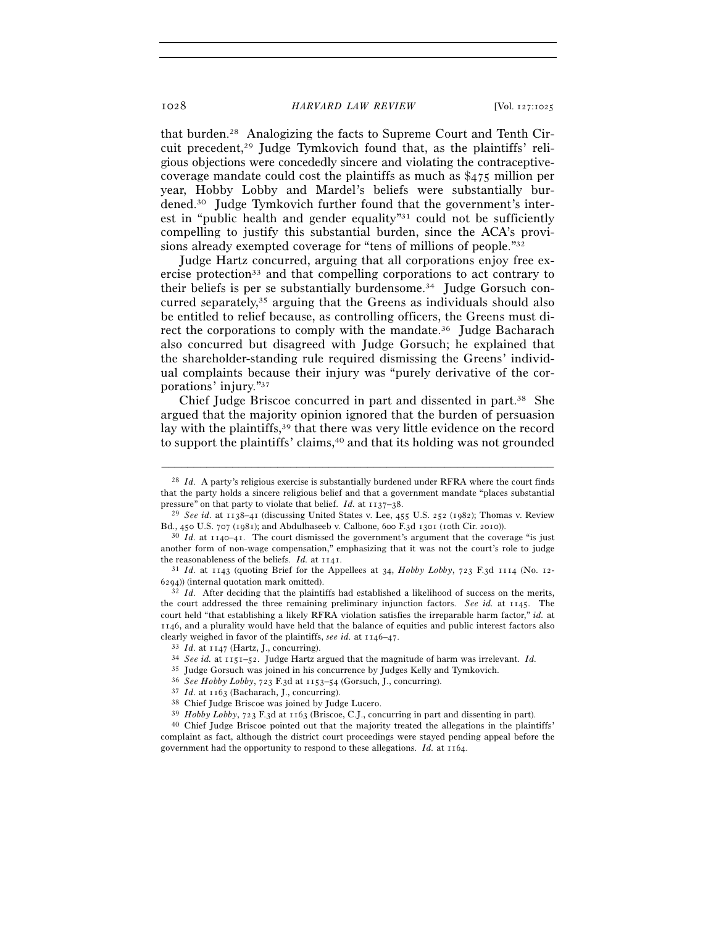that burden.28 Analogizing the facts to Supreme Court and Tenth Circuit precedent,<sup>29</sup> Judge Tymkovich found that, as the plaintiffs' religious objections were concededly sincere and violating the contraceptivecoverage mandate could cost the plaintiffs as much as \$475 million per year, Hobby Lobby and Mardel's beliefs were substantially burdened.30 Judge Tymkovich further found that the government's interest in "public health and gender equality"31 could not be sufficiently compelling to justify this substantial burden, since the ACA's provisions already exempted coverage for "tens of millions of people."32

Judge Hartz concurred, arguing that all corporations enjoy free exercise protection33 and that compelling corporations to act contrary to their beliefs is per se substantially burdensome.34 Judge Gorsuch concurred separately,35 arguing that the Greens as individuals should also be entitled to relief because, as controlling officers, the Greens must direct the corporations to comply with the mandate.<sup>36</sup> Judge Bacharach also concurred but disagreed with Judge Gorsuch; he explained that the shareholder-standing rule required dismissing the Greens' individual complaints because their injury was "purely derivative of the corporations' injury."37

Chief Judge Briscoe concurred in part and dissented in part.38 She argued that the majority opinion ignored that the burden of persuasion lay with the plaintiffs,39 that there was very little evidence on the record to support the plaintiffs' claims,<sup>40</sup> and that its holding was not grounded

–––––––––––––––––––––––––––––––––––––––––––––––––––––––––––––

<sup>28</sup> *Id.* A party's religious exercise is substantially burdened under RFRA where the court finds that the party holds a sincere religious belief and that a government mandate "places substantial

pressure" on that party to violate that belief. *Id.* at 1137–38.<br><sup>29</sup> *See id.* at 1138–41 (discussing United States v. Lee, 455 U.S. 252 (1982); Thomas v. Review Bd., 450 U.S. 707 (1981); and Abdulhaseeb v. Calbone, 600

 $^{30}$  Id. at 1140–41. The court dismissed the government's argument that the coverage "is just another form of non-wage compensation," emphasizing that it was not the court's role to judge the reasonableness of the beliefs. *Id.* at  $1141$ .

<sup>&</sup>lt;sup>31</sup> *Id.* at 1143 (quoting Brief for the Appellees at 34, *Hobby Lobby*, 723 F.3d 1114 (No. 12-6294)) (internal quotation mark omitted).

<sup>&</sup>lt;sup>32</sup> *Id.* After deciding that the plaintiffs had established a likelihood of success on the merits, the court addressed the three remaining preliminary injunction factors. *See id.* at 1145. The court held "that establishing a likely RFRA violation satisfies the irreparable harm factor," *id.* at 1146, and a plurality would have held that the balance of equities and public interest factors also clearly weighed in favor of the plaintiffs, see id. at  $1146-47$ .<br><sup>33</sup> *Id.* at  $1147$  (Hartz, J., concurring).<br><sup>34</sup> *See id.* at  $1151-52$ . Judge Hartz argued that the magnitude of harm was irrelevant. *Id.* 

<sup>&</sup>lt;sup>35</sup> Judge Gorsuch was joined in his concurrence by Judges Kelly and Tymkovich.<br><sup>36</sup> *See Hobby Lobby*, 723 F.3d at 1153–54 (Gorsuch, J., concurring).<br><sup>37</sup> *Id.* at 1163 (Bacharach, J., concurring).<br><sup>38</sup> Chief Judge Brisc

complaint as fact, although the district court proceedings were stayed pending appeal before the government had the opportunity to respond to these allegations. *Id.* at 1164.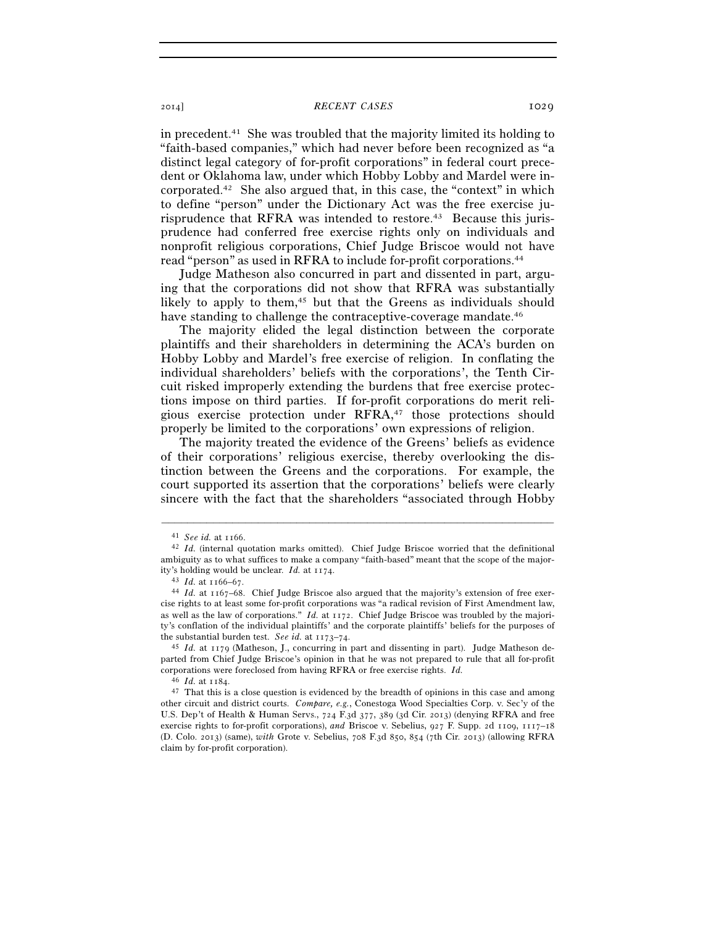# 2014] *RECENT CASES* 1029

in precedent.41 She was troubled that the majority limited its holding to "faith-based companies," which had never before been recognized as "a distinct legal category of for-profit corporations" in federal court precedent or Oklahoma law, under which Hobby Lobby and Mardel were incorporated.42 She also argued that, in this case, the "context" in which to define "person" under the Dictionary Act was the free exercise jurisprudence that RFRA was intended to restore.<sup>43</sup> Because this jurisprudence had conferred free exercise rights only on individuals and nonprofit religious corporations, Chief Judge Briscoe would not have read "person" as used in RFRA to include for-profit corporations.44

Judge Matheson also concurred in part and dissented in part, arguing that the corporations did not show that RFRA was substantially likely to apply to them,<sup>45</sup> but that the Greens as individuals should have standing to challenge the contraceptive-coverage mandate.<sup>46</sup>

The majority elided the legal distinction between the corporate plaintiffs and their shareholders in determining the ACA's burden on Hobby Lobby and Mardel's free exercise of religion. In conflating the individual shareholders' beliefs with the corporations', the Tenth Circuit risked improperly extending the burdens that free exercise protections impose on third parties. If for-profit corporations do merit religious exercise protection under RFRA,47 those protections should properly be limited to the corporations' own expressions of religion.

The majority treated the evidence of the Greens' beliefs as evidence of their corporations' religious exercise, thereby overlooking the distinction between the Greens and the corporations. For example, the court supported its assertion that the corporations' beliefs were clearly sincere with the fact that the shareholders "associated through Hobby

–––––––––––––––––––––––––––––––––––––––––––––––––––––––––––––

<sup>41</sup> *See id.* at 1166. 42 *Id.* (internal quotation marks omitted). Chief Judge Briscoe worried that the definitional ambiguity as to what suffices to make a company "faith-based" meant that the scope of the majority's holding would be unclear. *Id.* at 1174.<br><sup>43</sup> *Id.* at 1166–67.<br><sup>44</sup> *Id.* at 1167–68. Chief Judge Briscoe also argued that the majority's extension of free exer-

cise rights to at least some for-profit corporations was "a radical revision of First Amendment law, as well as the law of corporations." *Id.* at 1172. Chief Judge Briscoe was troubled by the majority's conflation of the individual plaintiffs' and the corporate plaintiffs' beliefs for the purposes of the substantial burden test. See id. at  $1173-74$ .

<sup>&</sup>lt;sup>45</sup> *Id.* at 1179 (Matheson, J., concurring in part and dissenting in part). Judge Matheson departed from Chief Judge Briscoe's opinion in that he was not prepared to rule that all for-profit corporations were foreclosed from having RFRA or free exercise rights. *Id.*

<sup>46</sup> *Id.* at 1184. 47 That this is a close question is evidenced by the breadth of opinions in this case and among other circuit and district courts. *Compare, e.g.*, Conestoga Wood Specialties Corp. v. Sec'y of the U.S. Dep't of Health & Human Servs., 724 F.3d 377, 389 (3d Cir. 2013) (denying RFRA and free exercise rights to for-profit corporations), *and* Briscoe v. Sebelius, 927 F. Supp. 2d 1109, 1117–18 (D. Colo. 2013) (same), *with* Grote v. Sebelius, 708 F.3d 850, 854 (7th Cir. 2013) (allowing RFRA claim by for-profit corporation).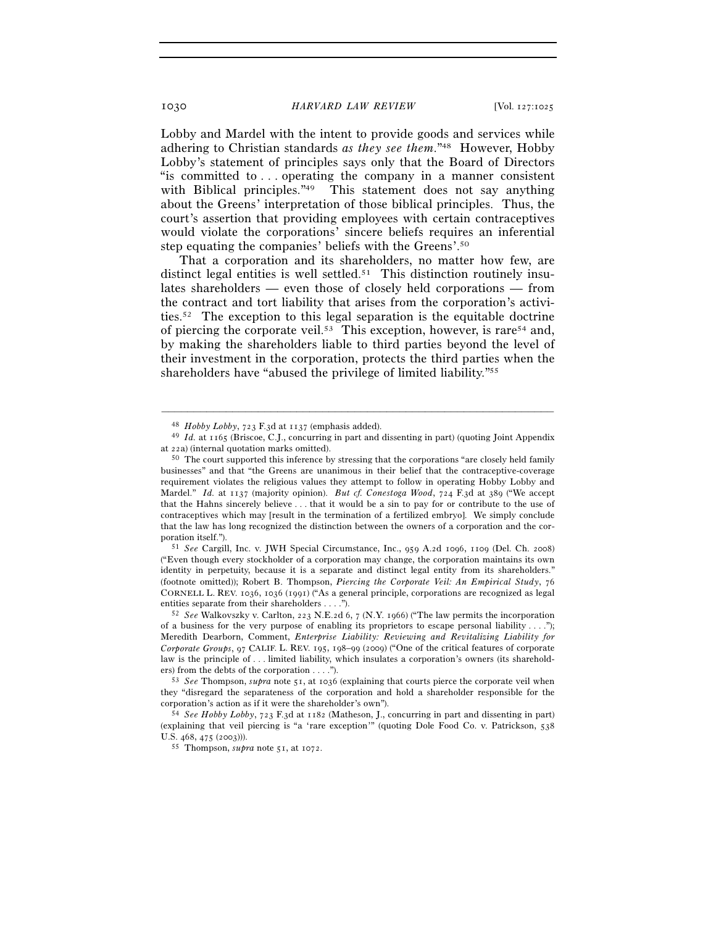## 1030 *HARVARD LAW REVIEW* [Vol. 127:1025

Lobby and Mardel with the intent to provide goods and services while adhering to Christian standards *as they see them*."48 However, Hobby Lobby's statement of principles says only that the Board of Directors "is committed to . . . operating the company in a manner consistent with Biblical principles.<sup>"49</sup> This statement does not say anything about the Greens' interpretation of those biblical principles. Thus, the court's assertion that providing employees with certain contraceptives would violate the corporations' sincere beliefs requires an inferential step equating the companies' beliefs with the Greens'.50

That a corporation and its shareholders, no matter how few, are distinct legal entities is well settled.<sup>51</sup> This distinction routinely insulates shareholders — even those of closely held corporations — from the contract and tort liability that arises from the corporation's activities.52 The exception to this legal separation is the equitable doctrine of piercing the corporate veil.53 This exception, however, is rare54 and, by making the shareholders liable to third parties beyond the level of their investment in the corporation, protects the third parties when the shareholders have "abused the privilege of limited liability."55

–––––––––––––––––––––––––––––––––––––––––––––––––––––––––––––

("Even though every stockholder of a corporation may change, the corporation maintains its own identity in perpetuity, because it is a separate and distinct legal entity from its shareholders." (footnote omitted)); Robert B. Thompson, *Piercing the Corporate Veil: An Empirical Study*, 76 CORNELL L. REV. 1036, 1036 (1991) ("As a general principle, corporations are recognized as legal entities separate from their shareholders . . . ."). 52 *See* Walkovszky v. Carlton, 223 N.E.2d 6, 7 (N.Y. 1966) ("The law permits the incorporation

of a business for the very purpose of enabling its proprietors to escape personal liability  $\dots$ "); Meredith Dearborn, Comment, *Enterprise Liability: Reviewing and Revitalizing Liability for Corporate Groups*, 97 CALIF. L. REV. 195, 198–99 (2009) ("One of the critical features of corporate law is the principle of . . . limited liability, which insulates a corporation's owners (its shareholders) from the debts of the corporation . . . .").<br><sup>53</sup> *See* Thompson, *supra* note 51, at 1036 (explaining that courts pierce the corporate veil when

they "disregard the separateness of the corporation and hold a shareholder responsible for the corporation's action as if it were the shareholder's own"). 54 *See Hobby Lobby*, 723 F.3d at 1182 (Matheson, J., concurring in part and dissenting in part)

(explaining that veil piercing is "a 'rare exception'" (quoting Dole Food Co. v. Patrickson, 538 U.S. 468, 475 (2003))). 55 Thompson, *supra* note 51, at 1072.

<sup>48</sup> *Hobby Lobby*, 723 F.3d at 1137 (emphasis added). 49 *Id.* at 1165 (Briscoe, C.J., concurring in part and dissenting in part) (quoting Joint Appendix at 22a) (internal quotation marks omitted).<br><sup>50</sup> The court supported this inference by stressing that the corporations "are closely held family

businesses" and that "the Greens are unanimous in their belief that the contraceptive-coverage requirement violates the religious values they attempt to follow in operating Hobby Lobby and Mardel." *Id.* at 1137 (majority opinion). *But cf. Conestoga Wood*, 724 F.3d at 389 ("We accept that the Hahns sincerely believe . . . that it would be a sin to pay for or contribute to the use of contraceptives which may [result in the termination of a fertilized embryo]. We simply conclude that the law has long recognized the distinction between the owners of a corporation and the corporation itself."). 51 *See* Cargill, Inc. v. JWH Special Circumstance, Inc., 959 A.2d 1096, 1109 (Del. Ch. 2008)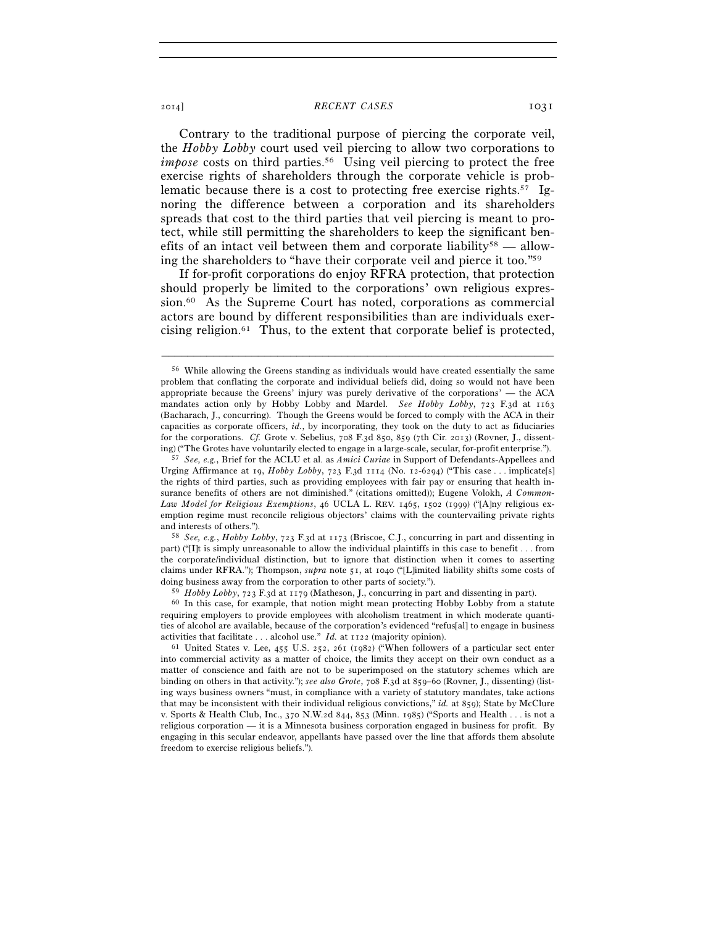## 2014] **RECENT CASES** 1031

Contrary to the traditional purpose of piercing the corporate veil, the *Hobby Lobby* court used veil piercing to allow two corporations to *impose* costs on third parties.<sup>56</sup> Using veil piercing to protect the free exercise rights of shareholders through the corporate vehicle is problematic because there is a cost to protecting free exercise rights.57 Ignoring the difference between a corporation and its shareholders spreads that cost to the third parties that veil piercing is meant to protect, while still permitting the shareholders to keep the significant benefits of an intact veil between them and corporate liability<sup>58</sup> — allowing the shareholders to "have their corporate veil and pierce it too."59

If for-profit corporations do enjoy RFRA protection, that protection should properly be limited to the corporations' own religious expression.60 As the Supreme Court has noted, corporations as commercial actors are bound by different responsibilities than are individuals exercising religion.<sup>61</sup> Thus, to the extent that corporate belief is protected,

–––––––––––––––––––––––––––––––––––––––––––––––––––––––––––––

and interests of others."). 58 *See, e.g.*, *Hobby Lobby*, 723 F.3d at 1173 (Briscoe, C.J., concurring in part and dissenting in part) ("[I]t is simply unreasonable to allow the individual plaintiffs in this case to benefit . . . from the corporate/individual distinction, but to ignore that distinction when it comes to asserting claims under RFRA."); Thompson, *supra* note 51, at 1040 ("[L]imited liability shifts some costs of doing business away from the corporation to other parts of society.").

<sup>59</sup> *Hobby Lobby*, 723 F.3d at 1179 (Matheson, J., concurring in part and dissenting in part). 60 In this case, for example, that notion might mean protecting Hobby Lobby from a statute requiring employers to provide employees with alcoholism treatment in which moderate quantities of alcohol are available, because of the corporation's evidenced "refus[al] to engage in business activities that facilitate . . . alcohol use." *Id.* at 1122 (majority opinion). 61 United States v. Lee, 455 U.S. 252, 261 (1982) ("When followers of a particular sect enter

<sup>56</sup> While allowing the Greens standing as individuals would have created essentially the same problem that conflating the corporate and individual beliefs did, doing so would not have been appropriate because the Greens' injury was purely derivative of the corporations' — the ACA mandates action only by Hobby Lobby and Mardel. *See Hobby Lobby*, 723 F.3d at 1163 (Bacharach, J., concurring). Though the Greens would be forced to comply with the ACA in their capacities as corporate officers, *id.*, by incorporating, they took on the duty to act as fiduciaries for the corporations. *Cf.* Grote v. Sebelius, 708 F.3d 850, 859 (7th Cir. 2013) (Rovner, J., dissenting) ("The Grotes have voluntarily elected to engage in a large-scale, secular, for-profit enterprise."). 57 *See, e.g.*, Brief for the ACLU et al. as *Amici Curiae* in Support of Defendants-Appellees and

Urging Affirmance at 19, *Hobby Lobby*, 723 F.3d 1114 (No. 12-6294) ("This case . . . implicate[s] the rights of third parties, such as providing employees with fair pay or ensuring that health insurance benefits of others are not diminished." (citations omitted)); Eugene Volokh, *A Common-Law Model for Religious Exemptions*, 46 UCLA L. REV. 1465, 1502 (1999) ("[A]ny religious exemption regime must reconcile religious objectors' claims with the countervailing private rights and interests of others.").

into commercial activity as a matter of choice, the limits they accept on their own conduct as a matter of conscience and faith are not to be superimposed on the statutory schemes which are binding on others in that activity."); *see also Grote*, 708 F.3d at 859–60 (Rovner, J., dissenting) (listing ways business owners "must, in compliance with a variety of statutory mandates, take actions that may be inconsistent with their individual religious convictions," *id.* at 859); State by McClure v. Sports & Health Club, Inc., 370 N.W.2d 844, 853 (Minn. 1985) ("Sports and Health . . . is not a religious corporation — it is a Minnesota business corporation engaged in business for profit. By engaging in this secular endeavor, appellants have passed over the line that affords them absolute freedom to exercise religious beliefs.").